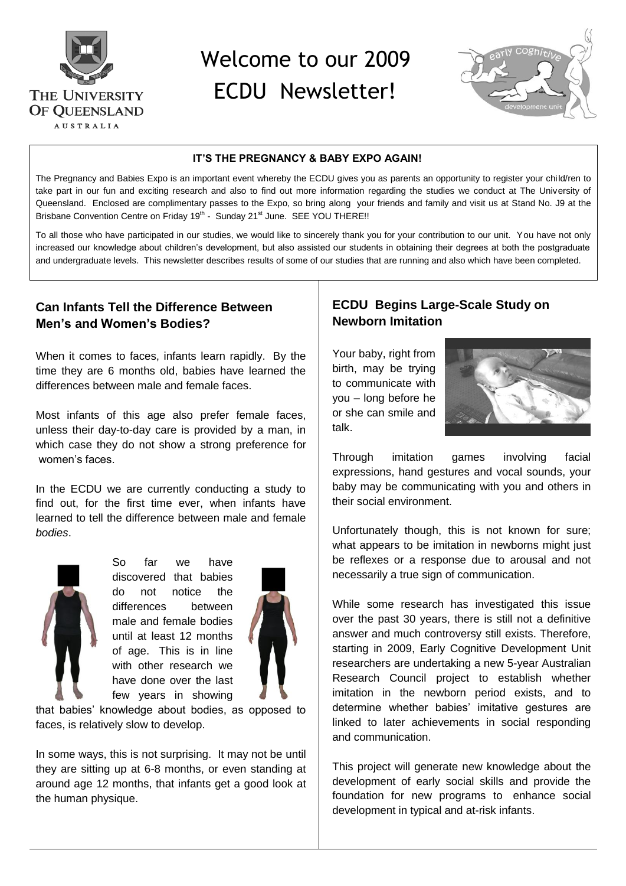

# Welcome to our 2009



#### **IT'S THE PREGNANCY & BABY EXPO AGAIN!**

The Pregnancy and Babies Expo is an important event whereby the ECDU gives you as parents an opportunity to register your child/ren to take part in our fun and exciting research and also to find out more information regarding the studies we conduct at The University of Queensland. Enclosed are complimentary passes to the Expo, so bring along your friends and family and visit us at Stand No. J9 at the Brisbane Convention Centre on Friday 19<sup>th</sup> - Sunday 21<sup>st</sup> June. SEE YOU THERE!!

To all those who have participated in our studies, we would like to sincerely thank you for your contribution to our unit. You have not only increased our knowledge about children's development, but also assisted our students in obtaining their degrees at both the postgraduate and undergraduate levels. This newsletter describes results of some of our studies that are running and also which have been completed.

### **Can Infants Tell the Difference Between Men's and Women's Bodies?**

When it comes to faces, infants learn rapidly. By the time they are 6 months old, babies have learned the differences between male and female faces.

Most infants of this age also prefer female faces, unless their day-to-day care is provided by a man, in which case they do not show a strong preference for women's faces.

In the ECDU we are currently conducting a study to find out, for the first time ever, when infants have learned to tell the difference between male and female *bodies*.



So far we have discovered that babies do not notice the differences between male and female bodies until at least 12 months of age. This is in line with other research we have done over the last few years in showing



that babies' knowledge about bodies, as opposed to faces, is relatively slow to develop.

In some ways, this is not surprising. It may not be until they are sitting up at 6-8 months, or even standing at around age 12 months, that infants get a good look at the human physique.

## **ECDU Begins Large-Scale Study on Newborn Imitation**

Your baby, right from birth, may be trying to communicate with you – long before he or she can smile and talk.



Through imitation games involving facial expressions, hand gestures and vocal sounds, your baby may be communicating with you and others in their social environment.

Unfortunately though, this is not known for sure; what appears to be imitation in newborns might just be reflexes or a response due to arousal and not necessarily a true sign of communication.

While some research has investigated this issue over the past 30 years, there is still not a definitive answer and much controversy still exists. Therefore, starting in 2009, Early Cognitive Development Unit researchers are undertaking a new 5-year Australian Research Council project to establish whether imitation in the newborn period exists, and to determine whether babies' imitative gestures are linked to later achievements in social responding and communication.

This project will generate new knowledge about the development of early social skills and provide the foundation for new programs to enhance social development in typical and at-risk infants.